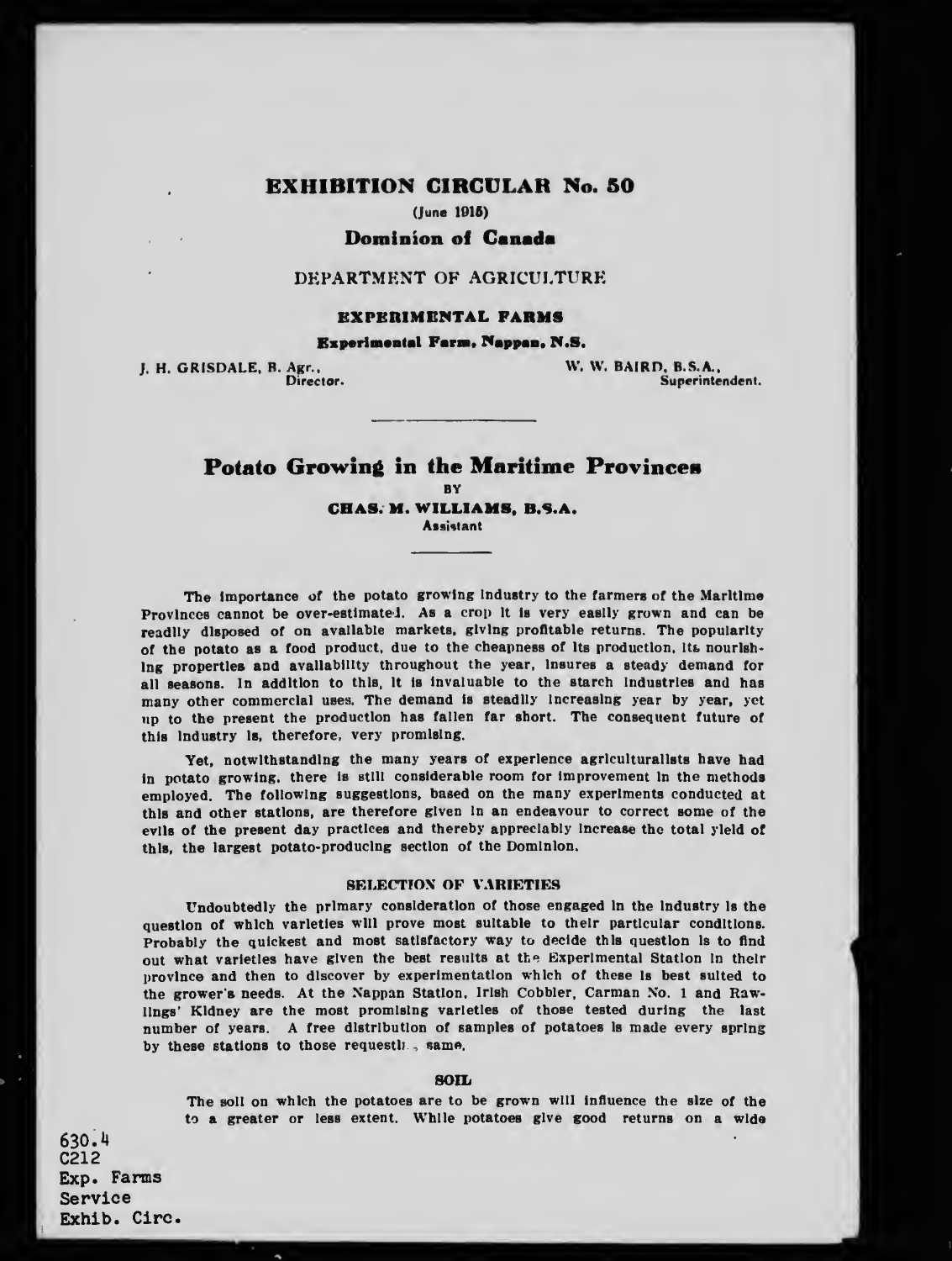# EXHIBITION CIRCULAR No. 50

(June 1015)

## Dominion of Canada

### DEPARTMENT OF AGRICULTURE

### EXPEBIMBMTAL FARMS

### Bxperimental Farm, Nappan, N.S.

J. H. GRISDALE, B. Agr., W. W. BAIRD, B.S.A., Superinte Superintendent.

# Potato Growing in the Maritime Provinces

**BY** 

CBAS. M. WILLIAMS, B.S.A.

**Assistant** 

The Importance of the potato growing industry to the farmers of the Maritime Provinces cannot be over-estimatei. As a crop it is very easily grown and can be readily disposed of on available markets, giving profitable returns. The popularity of the potato as a food product, due to the cheapness of its production, its nourishing properties and availability throughout the year, insures a steady demand for all seasons. In addition to this, it is invaluable to the starch industries and has many other commercial uses. The demand is steadily increasing year by year, yet up to the present the production has fallen far short. The consequent future of this industry Is, therefore, very promising.

Yet, notwithstanding the many years of experience agriculturalists have had in potato growing, there is still considerable room for improvement in the methods employed. The following suggestions, based on the many experiments conducted at this and other stations, are therefore given in an endeavour to correct some of the evils of the present day practices and thereby appreciably Increase the total yield of this, the largest potato-producing section of the Dominion.

### **SELECTION OF VARIETIES**

Undoubtedly the primary consideration of those engaged In the Industry is the question of which varieties will prove most suitable to their particular conditions. Probably the quickest and most satisfactory way to decide this question is to find out what varieties have given the best results at the Experimental Station In their province and then to discover by experimentation which of these Is best suited to the grower's needs. At the Nappan Station, Irish Cobbler, Carman No. <sup>1</sup> and Rawlings' Kidney are the most promising varieties of those tested during the last number of years. A free distribution of samples of potatoes is made every spring by these stations to those requestly., same.

### SOIL

The soil on which the potatoes are to be grown will Influence the size of the to a greater or less extent. While potatoes give good returns on a wide

630. M C212 Exp. Farms Service Exhib. Circ.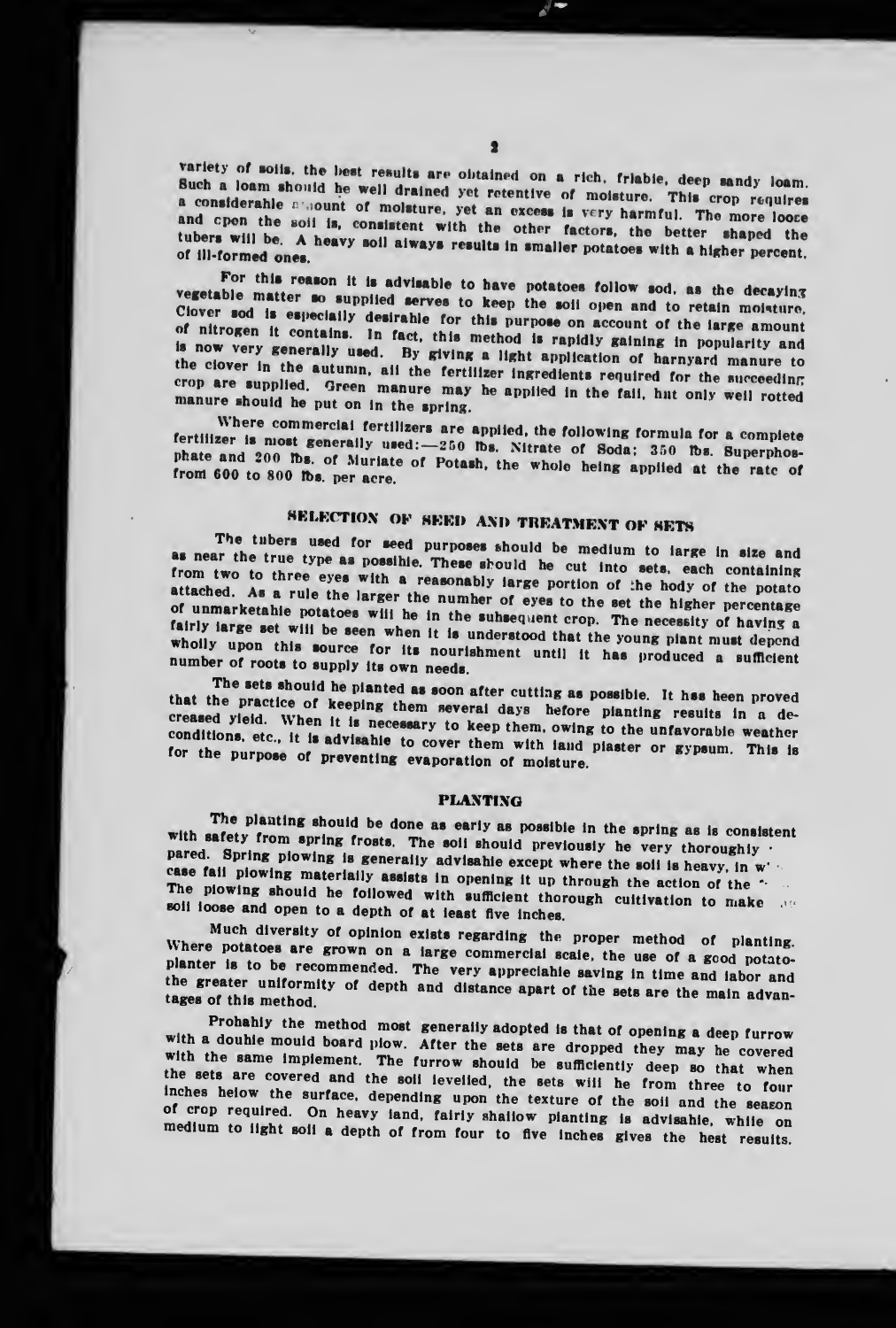variety of soils, the best results are obtained on a rich, friable, deep sandy loam. Such a loam should he well drained yet retentive of moisture. This crop requires a considerable allount of molsture, yet an excess is very harmful. The more loose and open the soil is, consistent with the other factors, the better shaped the tubers will be. A heavy soil aiways results in smaller potatoes with a higher percent. of ill-formed ones.

For this reason it is advisable to have potatoes follow sod, as the decaying vegetable matter so supplied serves to keep the soil open and to retain moisture. Clover sod is especially desirable for this purpose on account of the large amount of nitrogen it contains. In fact, this method is rapidly gaining in popularity and is now very generally used. By giving a light application of harnyard manure to the clover in the autumn, all the fertilizer ingredients required for the succeeding crop are supplied. Green manure may be applied in the fail, hut only well rotted manure should be put on in the spring.

Where commercial fertilizers are applied, the following formula for a complete fertilizer is most generally used: - 250 lbs. Nitrate of Soda; 350 lbs. Superphosphate and 200 lbs. of Muriate of Potash, the whole heing applied at the rate of from 600 to 800 lbs. per acre.

# SELECTION OF SEED AND TREATMENT OF SETS

The tubers used for seed purposes should be medium to large in size and as near the true type as possible. These should be cut into sets, each containing from two to three eyes with a reasonably large portion of the hody of the potato attached. As a rule the larger the number of eyes to the set the higher percentage of unmarketable potatoes will be in the subsequent crop. The necessity of having a fairly large set will be seen when it is understood that the young piant must depend wholly upon this source for its nourishment until it has produced a sufficient number of roots to supply its own needs.

The sets should he planted as soon after cutting as possible. It has heen proved that the practice of keeping them several days hefore planting results in a decreased yield. When it is necessary to keep them, owing to the unfavorable weather conditions, etc., it is advisable to cover them with land plaster or gypsum. This is for the purpose of preventing evaporation of moisture.

#### **PLANTING**

The planting should be done as early as possible in the spring as is consistent with safety from spring frosts. The soil should previously he very thoroughly . pared. Spring piowing is generally advisable except where the soil is heavy, in w. case fail plowing materially assists in opening it up through the action of the " The plowing should he followed with sufficient thorough cultivation to make soil loose and open to a depth of at least five inches.

Much diversity of opinion exists regarding the proper method of planting. Where potatoes are grown on a large commercial scale, the use of a good potatoplanter is to be recommended. The very appreciable saving in time and iabor and the greater uniformity of depth and distance apart of the sets are the main advantages of this method.

Prohahly the method most generally adopted is that of opening a deep furrow with a double mould board plow. After the sets are dropped they may be covered with the same implement. The furrow should be sufficiently deep so that when the sets are covered and the soil levelled, the sets will he from three to four inches helow the surface, depending upon the texture of the soil and the season of crop required. On heavy iand, fairly shallow planting is advisable, while on medium to light soil a depth of from four to five inches gives the hest results.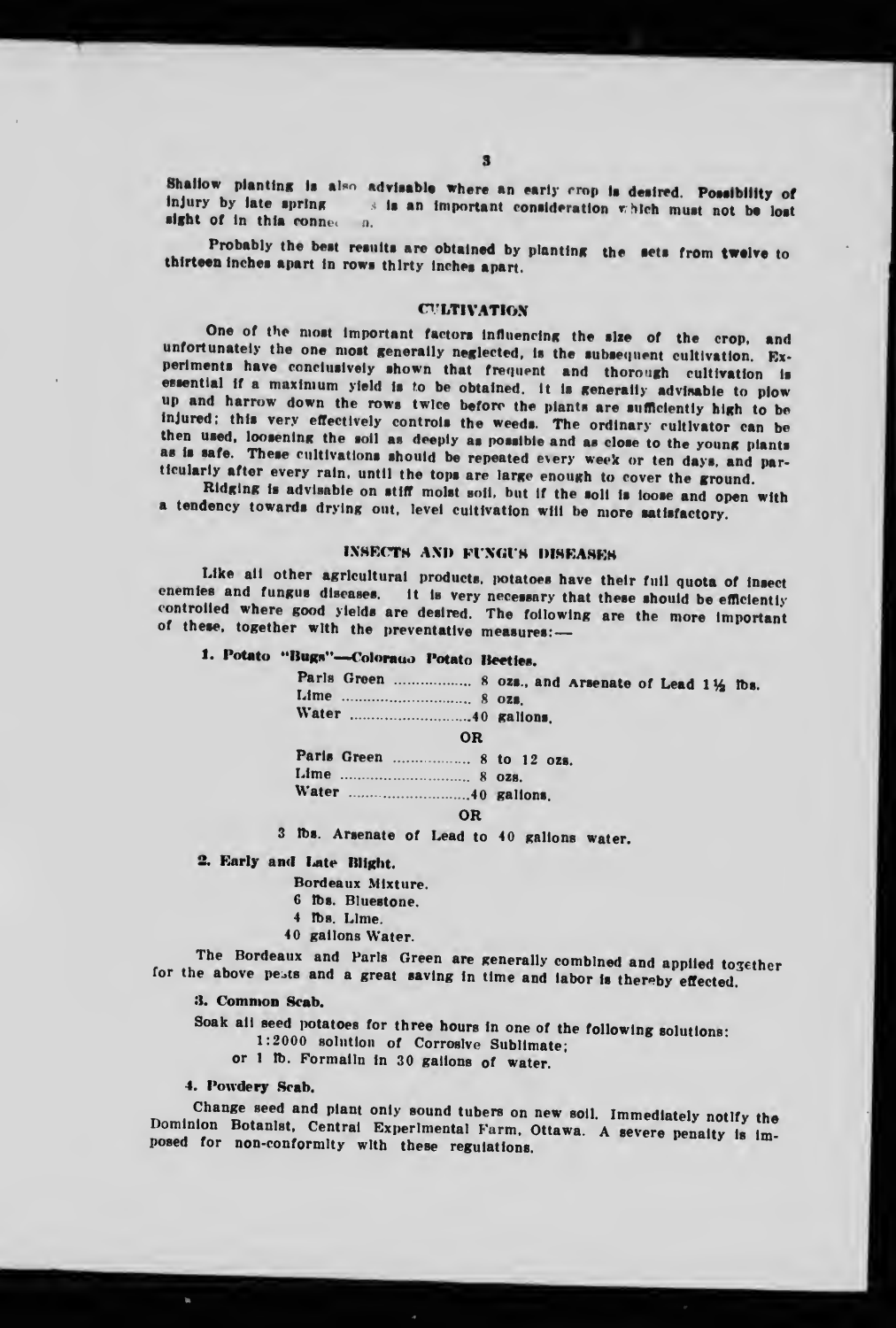Shallow planting is also advisable where an early crop is desired. Possibility of injury by late spring s is an important consideration which must not be lost sight of in this connection.

Probably the best results are obtained by planting the sets from twelve to thirteen inches apart in rows thirty inches apart.

### **CULTIVATION**

One of the most important factors influencing the size of the crop, and unfortunately the one most generally neglected, is the subsequent cultivation. Experiments have conclusively shown that frequent and thorough cultivation is essential if a maximum yield is to be obtained, it is generally advisable to plow up and harrow down the rows twice before the plants are sufficiently high to be injured; this very effectively controls the weeds. The ordinary cultivator can be then used, loosening the soil as deeply as possible and as close to the young plants as is safe. These cultivations should be repeated every week or ten days, and particularly after every rain, until the tops are large enough to cover the ground.

Ridging is advisable on stiff molst soil, but if the soli is loose and open with a tendency towards drying out, level cultivation will be more satisfactory.

### INSECTS AND FUNGUS DISEASES

Like all other agricultural products, potatoes have their full quota of insect enemies and fungus diseases. It is very necessary that these should be efficiently controlled where good yields are desired. The following are the more important of these, together with the preventative measures:-

# 1. Potato "Bugs"-Colorauo Potato Beeties.

| 0R |  |
|----|--|
|    |  |
|    |  |
|    |  |
| OR |  |
|    |  |

3 lbs. Arsenate of Lead to 40 gallons water.

# 2. Early and Late Blight.

Bordeaux Mixture.

- 6 lbs. Bluestone.
- 4 lbs. Lime.
- 40 gallons Water.

The Bordeaux and Parls Green are generally combined and applied together for the above pests and a great saving in time and labor is thereby effected.

3. Common Scab.

Soak all seed potatoes for three hours in one of the following solutions:

1:2000 solution of Corroslve Sublimate;

or 1 lb. Formalln in 30 gallons of water.

4. Powdery Scab.

Change seed and piant only sound tubers on new soil. Immediately notlfy the Dominion Botanist, Central Experimental Farm, Ottawa. A severe penalty is imposed for non-conformity with these regulations.